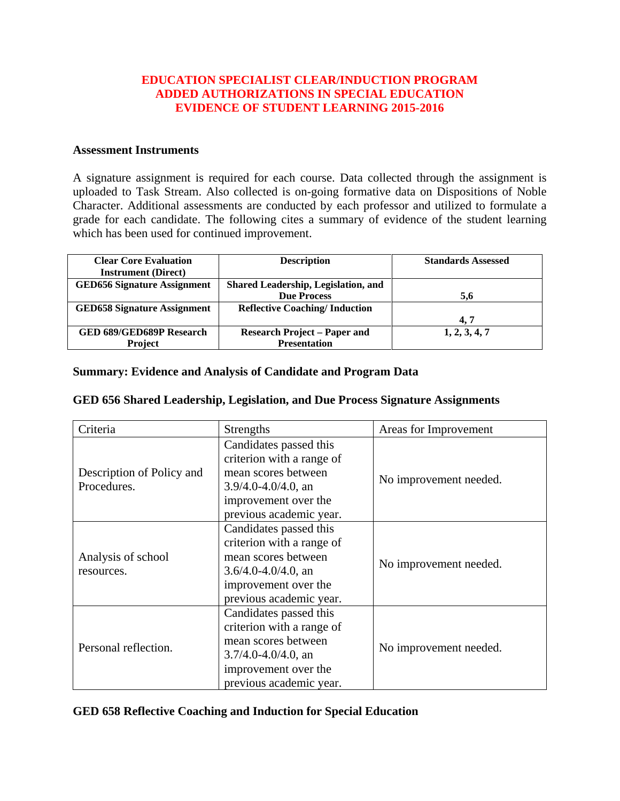## **EDUCATION SPECIALIST CLEAR/INDUCTION PROGRAM ADDED AUTHORIZATIONS IN SPECIAL EDUCATION EVIDENCE OF STUDENT LEARNING 2015-2016**

## **Assessment Instruments**

A signature assignment is required for each course. Data collected through the assignment is uploaded to Task Stream. Also collected is on-going formative data on Dispositions of Noble Character. Additional assessments are conducted by each professor and utilized to formulate a grade for each candidate. The following cites a summary of evidence of the student learning which has been used for continued improvement.

| <b>Clear Core Evaluation</b>       | <b>Description</b>                   | <b>Standards Assessed</b> |
|------------------------------------|--------------------------------------|---------------------------|
| <b>Instrument</b> (Direct)         |                                      |                           |
| <b>GED656 Signature Assignment</b> | Shared Leadership, Legislation, and  |                           |
|                                    | <b>Due Process</b>                   | 5.6                       |
| <b>GED658 Signature Assignment</b> | <b>Reflective Coaching/Induction</b> |                           |
|                                    |                                      | 4.7                       |
| <b>GED 689/GED689P Research</b>    | <b>Research Project – Paper and</b>  | 1, 2, 3, 4, 7             |
| <b>Project</b>                     | <b>Presentation</b>                  |                           |

## **Summary: Evidence and Analysis of Candidate and Program Data**

## **GED 656 Shared Leadership, Legislation, and Due Process Signature Assignments**

| Criteria                                 | <b>Strengths</b>                                                                                                                                          | Areas for Improvement  |
|------------------------------------------|-----------------------------------------------------------------------------------------------------------------------------------------------------------|------------------------|
| Description of Policy and<br>Procedures. | Candidates passed this<br>criterion with a range of<br>mean scores between<br>$3.9/4.0 - 4.0/4.0$ , an<br>improvement over the<br>previous academic year. | No improvement needed. |
| Analysis of school<br>resources.         | Candidates passed this<br>criterion with a range of<br>mean scores between<br>$3.6/4.0 - 4.0/4.0$ , an<br>improvement over the<br>previous academic year. | No improvement needed. |
| Personal reflection.                     | Candidates passed this<br>criterion with a range of<br>mean scores between<br>$3.7/4.0 - 4.0/4.0$ , an<br>improvement over the<br>previous academic year. | No improvement needed. |

**GED 658 Reflective Coaching and Induction for Special Education**